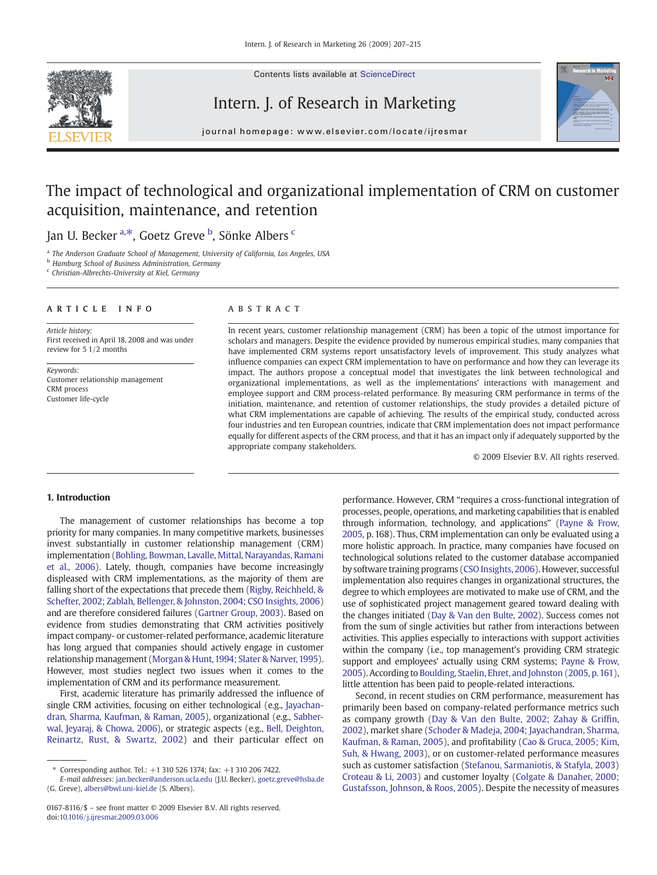

Contents lists available at ScienceDirect

## Intern. J. of Research in Marketing



journal homepage: www.elsevier.com/locate/ijresmar

## The impact of technological and organizational implementation of CRM on customer acquisition, maintenance, and retention

## Jan U. Becker <sup>a,\*</sup>, Goetz Greve <sup>b</sup>, Sönke Albers <sup>c</sup>

<sup>a</sup> The Anderson Graduate School of Management, University of California, Los Angeles, USA

<sup>b</sup> Hamburg School of Business Administration, Germany

<sup>c</sup> Christian-Albrechts-University at Kiel, Germany

### article info abstract

Article history: First received in April 18, 2008 and was under review for 5 1/2 months

Keywords: Customer relationship management CRM process Customer life-cycle

In recent years, customer relationship management (CRM) has been a topic of the utmost importance for scholars and managers. Despite the evidence provided by numerous empirical studies, many companies that have implemented CRM systems report unsatisfactory levels of improvement. This study analyzes what influence companies can expect CRM implementation to have on performance and how they can leverage its impact. The authors propose a conceptual model that investigates the link between technological and organizational implementations, as well as the implementations' interactions with management and employee support and CRM process-related performance. By measuring CRM performance in terms of the initiation, maintenance, and retention of customer relationships, the study provides a detailed picture of what CRM implementations are capable of achieving. The results of the empirical study, conducted across four industries and ten European countries, indicate that CRM implementation does not impact performance equally for different aspects of the CRM process, and that it has an impact only if adequately supported by the appropriate company stakeholders.

© 2009 Elsevier B.V. All rights reserved.

### 1. Introduction

The management of customer relationships has become a top priority for many companies. In many competitive markets, businesses invest substantially in customer relationship management (CRM) implementation ([Bohling, Bowman, Lavalle, Mittal, Narayandas, Ramani](#page--1-0) [et al., 2006](#page--1-0)). Lately, though, companies have become increasingly displeased with CRM implementations, as the majority of them are falling short of the expectations that precede them [\(Rigby, Reichheld, &](#page--1-0) [Schefter, 2002; Zablah, Bellenger, & Johnston, 2004; CSO Insights, 2006](#page--1-0)) and are therefore considered failures ([Gartner Group, 2003\)](#page--1-0). Based on evidence from studies demonstrating that CRM activities positively impact company- or customer-related performance, academic literature has long argued that companies should actively engage in customer relationship management [\(Morgan & Hunt,1994; Slater & Narver,1995](#page--1-0)). However, most studies neglect two issues when it comes to the implementation of CRM and its performance measurement.

First, academic literature has primarily addressed the influence of single CRM activities, focusing on either technological (e.g., [Jayachan](#page--1-0)[dran, Sharma, Kaufman, & Raman, 2005\)](#page--1-0), organizational (e.g., [Sabher](#page--1-0)[wal, Jeyaraj, & Chowa, 2006](#page--1-0)), or strategic aspects (e.g., [Bell, Deighton,](#page--1-0) [Reinartz, Rust, & Swartz, 2002](#page--1-0)) and their particular effect on

performance. However, CRM "requires a cross-functional integration of processes, people, operations, and marketing capabilities that is enabled through information, technology, and applications" [\(Payne & Frow,](#page--1-0) [2005,](#page--1-0) p. 168). Thus, CRM implementation can only be evaluated using a more holistic approach. In practice, many companies have focused on technological solutions related to the customer database accompanied by software training programs [\(CSO Insights, 2006\)](#page--1-0). However, successful implementation also requires changes in organizational structures, the degree to which employees are motivated to make use of CRM, and the use of sophisticated project management geared toward dealing with the changes initiated [\(Day & Van den Bulte, 2002\)](#page--1-0). Success comes not from the sum of single activities but rather from interactions between activities. This applies especially to interactions with support activities within the company (i.e., top management's providing CRM strategic support and employees' actually using CRM systems; [Payne & Frow,](#page--1-0) [2005\)](#page--1-0). According to [Boulding, Staelin, Ehret, and Johnston \(2005, p.161\),](#page--1-0) little attention has been paid to people-related interactions.

Second, in recent studies on CRM performance, measurement has primarily been based on company-related performance metrics such as company growth ([Day & Van den Bulte, 2002; Zahay & Grif](#page--1-0)fin, [2002\)](#page--1-0), market share ([Schoder & Madeja, 2004; Jayachandran, Sharma,](#page--1-0) [Kaufman, & Raman, 2005](#page--1-0)), and profitability ([Cao & Gruca, 2005; Kim,](#page--1-0) [Suh, & Hwang, 2003\)](#page--1-0), or on customer-related performance measures such as customer satisfaction ([Stefanou, Sarmaniotis, & Stafyla, 2003](#page--1-0)) [Croteau & Li, 2003](#page--1-0)) and customer loyalty ([Colgate & Danaher, 2000;](#page--1-0) [Gustafsson, Johnson, & Roos, 2005](#page--1-0)). Despite the necessity of measures

<sup>⁎</sup> Corresponding author. Tel.: +1 310 526 1374; fax: +1 310 206 7422.

E-mail addresses: [jan.becker@anderson.ucla.edu](mailto:jan.becker@anderson.ucla.edu) (J.U. Becker), [goetz.greve@hsba.de](mailto:goetz.greve@hsba.de) (G. Greve), [albers@bwl.uni-kiel.de](mailto:albers@bwl.uni-kiel.de) (S. Albers).

<sup>0167-8116/\$</sup> – see front matter © 2009 Elsevier B.V. All rights reserved. doi:[10.1016/j.ijresmar.2009.03.006](http://dx.doi.org/10.1016/j.ijresmar.2009.03.006)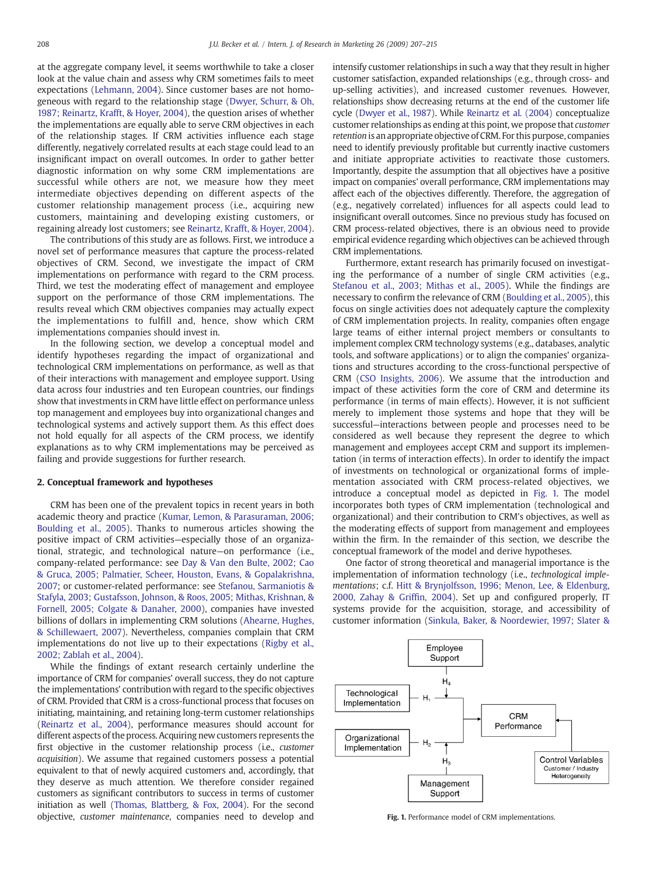at the aggregate company level, it seems worthwhile to take a closer look at the value chain and assess why CRM sometimes fails to meet expectations ([Lehmann, 2004\)](#page--1-0). Since customer bases are not homogeneous with regard to the relationship stage [\(Dwyer, Schurr, & Oh,](#page--1-0) [1987; Reinartz, Krafft, & Hoyer, 2004\)](#page--1-0), the question arises of whether the implementations are equally able to serve CRM objectives in each of the relationship stages. If CRM activities influence each stage differently, negatively correlated results at each stage could lead to an insignificant impact on overall outcomes. In order to gather better diagnostic information on why some CRM implementations are successful while others are not, we measure how they meet intermediate objectives depending on different aspects of the customer relationship management process (i.e., acquiring new customers, maintaining and developing existing customers, or regaining already lost customers; see [Reinartz, Krafft, & Hoyer, 2004](#page--1-0)).

The contributions of this study are as follows. First, we introduce a novel set of performance measures that capture the process-related objectives of CRM. Second, we investigate the impact of CRM implementations on performance with regard to the CRM process. Third, we test the moderating effect of management and employee support on the performance of those CRM implementations. The results reveal which CRM objectives companies may actually expect the implementations to fulfill and, hence, show which CRM implementations companies should invest in.

In the following section, we develop a conceptual model and identify hypotheses regarding the impact of organizational and technological CRM implementations on performance, as well as that of their interactions with management and employee support. Using data across four industries and ten European countries, our findings show that investments in CRM have little effect on performance unless top management and employees buy into organizational changes and technological systems and actively support them. As this effect does not hold equally for all aspects of the CRM process, we identify explanations as to why CRM implementations may be perceived as failing and provide suggestions for further research.

### 2. Conceptual framework and hypotheses

CRM has been one of the prevalent topics in recent years in both academic theory and practice [\(Kumar, Lemon, & Parasuraman, 2006;](#page--1-0) [Boulding et al., 2005\)](#page--1-0). Thanks to numerous articles showing the positive impact of CRM activities—especially those of an organizational, strategic, and technological nature—on performance (i.e., company-related performance: see [Day & Van den Bulte, 2002; Cao](#page--1-0) [& Gruca, 2005; Palmatier, Scheer, Houston, Evans, & Gopalakrishna,](#page--1-0) [2007](#page--1-0); or customer-related performance: see [Stefanou, Sarmaniotis &](#page--1-0) [Stafyla, 2003; Gustafsson, Johnson, & Roos, 2005; Mithas, Krishnan, &](#page--1-0) [Fornell, 2005; Colgate & Danaher, 2000](#page--1-0)), companies have invested billions of dollars in implementing CRM solutions ([Ahearne, Hughes,](#page--1-0) [& Schillewaert, 2007](#page--1-0)). Nevertheless, companies complain that CRM implementations do not live up to their expectations ([Rigby et al.,](#page--1-0) [2002; Zablah et al., 2004](#page--1-0)).

While the findings of extant research certainly underline the importance of CRM for companies' overall success, they do not capture the implementations' contribution with regard to the specific objectives of CRM. Provided that CRM is a cross-functional process that focuses on initiating, maintaining, and retaining long-term customer relationships [\(Reinartz et al., 2004](#page--1-0)), performance measures should account for different aspects of the process. Acquiring new customers represents the first objective in the customer relationship process (i.e., customer acquisition). We assume that regained customers possess a potential equivalent to that of newly acquired customers and, accordingly, that they deserve as much attention. We therefore consider regained customers as significant contributors to success in terms of customer initiation as well ([Thomas, Blattberg, & Fox, 2004](#page--1-0)). For the second objective, customer maintenance, companies need to develop and

intensify customer relationships in such a way that they result in higher customer satisfaction, expanded relationships (e.g., through cross- and up-selling activities), and increased customer revenues. However, relationships show decreasing returns at the end of the customer life cycle ([Dwyer et al., 1987](#page--1-0)). While [Reinartz et al. \(2004\)](#page--1-0) conceptualize customer relationships as ending at this point, we propose that customer retention is an appropriate objective of CRM. For this purpose, companies need to identify previously profitable but currently inactive customers and initiate appropriate activities to reactivate those customers. Importantly, despite the assumption that all objectives have a positive impact on companies' overall performance, CRM implementations may affect each of the objectives differently. Therefore, the aggregation of (e.g., negatively correlated) influences for all aspects could lead to insignificant overall outcomes. Since no previous study has focused on CRM process-related objectives, there is an obvious need to provide empirical evidence regarding which objectives can be achieved through CRM implementations.

Furthermore, extant research has primarily focused on investigating the performance of a number of single CRM activities (e.g., [Stefanou et al., 2003; Mithas et al., 2005](#page--1-0)). While the findings are necessary to confirm the relevance of CRM [\(Boulding et al., 2005](#page--1-0)), this focus on single activities does not adequately capture the complexity of CRM implementation projects. In reality, companies often engage large teams of either internal project members or consultants to implement complex CRM technology systems (e.g., databases, analytic tools, and software applications) or to align the companies' organizations and structures according to the cross-functional perspective of CRM [\(CSO Insights, 2006\)](#page--1-0). We assume that the introduction and impact of these activities form the core of CRM and determine its performance (in terms of main effects). However, it is not sufficient merely to implement those systems and hope that they will be successful—interactions between people and processes need to be considered as well because they represent the degree to which management and employees accept CRM and support its implementation (in terms of interaction effects). In order to identify the impact of investments on technological or organizational forms of implementation associated with CRM process-related objectives, we introduce a conceptual model as depicted in Fig. 1. The model incorporates both types of CRM implementation (technological and organizational) and their contribution to CRM's objectives, as well as the moderating effects of support from management and employees within the firm. In the remainder of this section, we describe the conceptual framework of the model and derive hypotheses.

One factor of strong theoretical and managerial importance is the implementation of information technology (i.e., technological implementations; c.f. [Hitt & Brynjolfsson, 1996; Menon, Lee, & Eldenburg,](#page--1-0) [2000, Zahay & Grif](#page--1-0)fin, 2004). Set up and configured properly, IT systems provide for the acquisition, storage, and accessibility of customer information [\(Sinkula, Baker, & Noordewier, 1997; Slater &](#page--1-0)



Fig. 1. Performance model of CRM implementations.